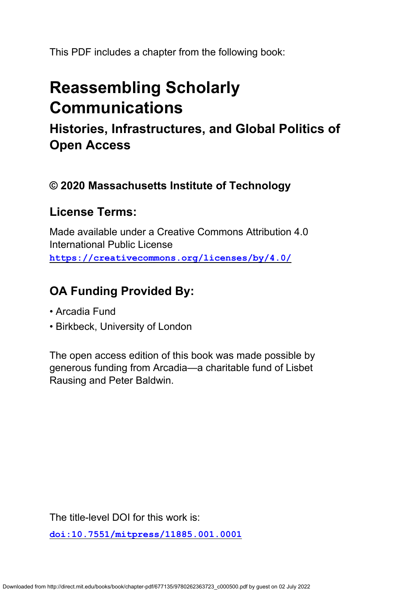This PDF includes a chapter from the following book:

# **Reassembling Scholarly Communications**

**Histories, Infrastructures, and Global Politics of Open Access**

# **© 2020 Massachusetts Institute of Technology**

# **License Terms:**

Made available under a Creative Commons Attribution 4.0 International Public License **<https://creativecommons.org/licenses/by/4.0/>**

# **OA Funding Provided By:**

- Arcadia Fund
- Birkbeck, University of London

The open access edition of this book was made possible by generous funding from Arcadia—a charitable fund of Lisbet Rausing and Peter Baldwin.

The title-level DOI for this work is:

**[doi:10.7551/mitpress/11885.001.0001](https://doi.org/10.7551/mitpress/11885.001.0001)**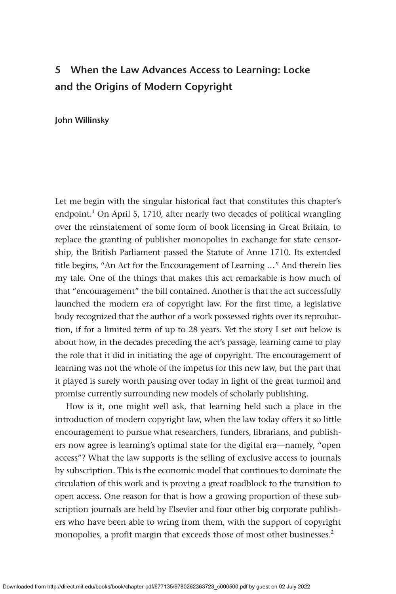### **5 When the Law Advances Access to Learning: Locke and the Origins of Modern Copyright**

### **John Willinsky**

Let me begin with the singular historical fact that constitutes this chapter's endpoint.<sup>1</sup> On April 5, 1710, after nearly two decades of political wrangling over the reinstatement of some form of book licensing in Great Britain, to replace the granting of publisher monopolies in exchange for state censorship, the British Parliament passed the Statute of Anne 1710. Its extended title begins, "An Act for the Encouragement of Learning …" And therein lies my tale. One of the things that makes this act remarkable is how much of that "encouragement" the bill contained. Another is that the act successfully launched the modern era of copyright law. For the first time, a legislative body recognized that the author of a work possessed rights over its reproduction, if for a limited term of up to 28 years. Yet the story I set out below is about how, in the decades preceding the act's passage, learning came to play the role that it did in initiating the age of copyright. The encouragement of learning was not the whole of the impetus for this new law, but the part that it played is surely worth pausing over today in light of the great turmoil and promise currently surrounding new models of scholarly publishing.

How is it, one might well ask, that learning held such a place in the introduction of modern copyright law, when the law today offers it so little encouragement to pursue what researchers, funders, librarians, and publishers now agree is learning's optimal state for the digital era—namely, "open access"? What the law supports is the selling of exclusive access to journals by subscription. This is the economic model that continues to dominate the circulation of this work and is proving a great roadblock to the transition to open access. One reason for that is how a growing proportion of these subscription journals are held by Elsevier and four other big corporate publishers who have been able to wring from them, with the support of copyright monopolies, a profit margin that exceeds those of most other businesses.<sup>2</sup>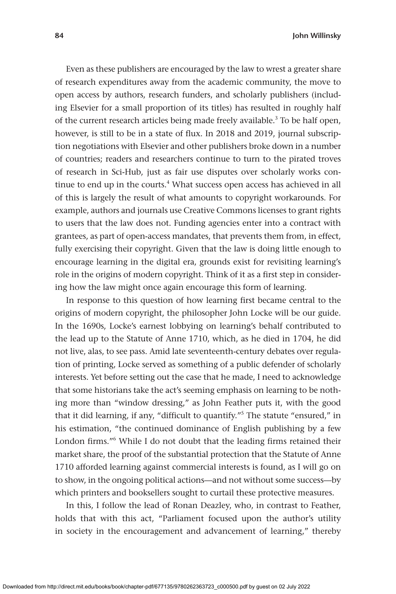Even as these publishers are encouraged by the law to wrest a greater share of research expenditures away from the academic community, the move to open access by authors, research funders, and scholarly publishers (including Elsevier for a small proportion of its titles) has resulted in roughly half of the current research articles being made freely available.<sup>3</sup> To be half open, however, is still to be in a state of flux. In 2018 and 2019, journal subscription negotiations with Elsevier and other publishers broke down in a number of countries; readers and researchers continue to turn to the pirated troves of research in Sci-Hub, just as fair use disputes over scholarly works continue to end up in the courts.<sup>4</sup> What success open access has achieved in all of this is largely the result of what amounts to copyright workarounds. For example, authors and journals use Creative Commons licenses to grant rights to users that the law does not. Funding agencies enter into a contract with grantees, as part of open-access mandates, that prevents them from, in effect, fully exercising their copyright. Given that the law is doing little enough to encourage learning in the digital era, grounds exist for revisiting learning's role in the origins of modern copyright. Think of it as a first step in considering how the law might once again encourage this form of learning.

In response to this question of how learning first became central to the origins of modern copyright, the philosopher John Locke will be our guide. In the 1690s, Locke's earnest lobbying on learning's behalf contributed to the lead up to the Statute of Anne 1710, which, as he died in 1704, he did not live, alas, to see pass. Amid late seventeenth-century debates over regulation of printing, Locke served as something of a public defender of scholarly interests. Yet before setting out the case that he made, I need to acknowledge that some historians take the act's seeming emphasis on learning to be nothing more than "window dressing," as John Feather puts it, with the good that it did learning, if any, "difficult to quantify."<sup>5</sup> The statute "ensured," in his estimation, "the continued dominance of English publishing by a few London firms."<sup>6</sup> While I do not doubt that the leading firms retained their market share, the proof of the substantial protection that the Statute of Anne 1710 afforded learning against commercial interests is found, as I will go on to show, in the ongoing political actions—and not without some success—by which printers and booksellers sought to curtail these protective measures.

In this, I follow the lead of Ronan Deazley, who, in contrast to Feather, holds that with this act, "Parliament focused upon the author's utility in society in the encouragement and advancement of learning," thereby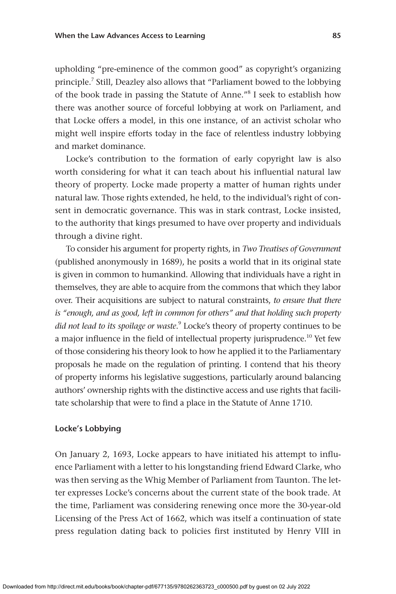upholding "pre-eminence of the common good" as copyright's organizing principle.<sup>7</sup> Still, Deazley also allows that "Parliament bowed to the lobbying of the book trade in passing the Statute of Anne."8 I seek to establish how there was another source of forceful lobbying at work on Parliament, and that Locke offers a model, in this one instance, of an activist scholar who might well inspire efforts today in the face of relentless industry lobbying and market dominance.

Locke's contribution to the formation of early copyright law is also worth considering for what it can teach about his influential natural law theory of property. Locke made property a matter of human rights under natural law. Those rights extended, he held, to the individual's right of consent in democratic governance. This was in stark contrast, Locke insisted, to the authority that kings presumed to have over property and individuals through a divine right.

To consider his argument for property rights, in *Two Treatises of Government* (published anonymously in 1689), he posits a world that in its original state is given in common to humankind. Allowing that individuals have a right in themselves, they are able to acquire from the commons that which they labor over. Their acquisitions are subject to natural constraints, *to ensure that there is "enough, and as good, left in common for others" and that holding such property did not lead to its spoilage or waste*. 9 Locke's theory of property continues to be a major influence in the field of intellectual property jurisprudence.<sup>10</sup> Yet few of those considering his theory look to how he applied it to the Parliamentary proposals he made on the regulation of printing. I contend that his theory of property informs his legislative suggestions, particularly around balancing authors' ownership rights with the distinctive access and use rights that facilitate scholarship that were to find a place in the Statute of Anne 1710.

#### **Locke's Lobbying**

On January 2, 1693, Locke appears to have initiated his attempt to influence Parliament with a letter to his longstanding friend Edward Clarke, who was then serving as the Whig Member of Parliament from Taunton. The letter expresses Locke's concerns about the current state of the book trade. At the time, Parliament was considering renewing once more the 30-year-old Licensing of the Press Act of 1662, which was itself a continuation of state press regulation dating back to policies first instituted by Henry VIII in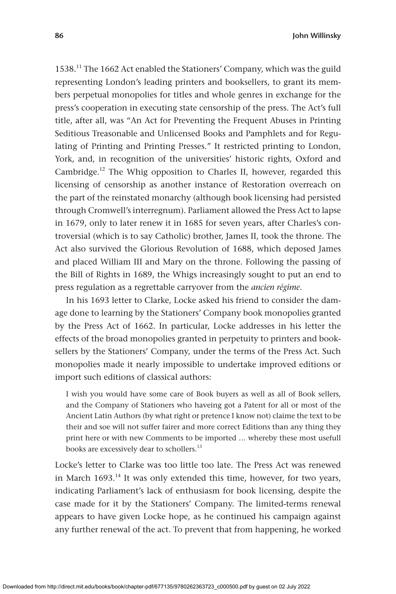1538.<sup>11</sup> The 1662 Act enabled the Stationers' Company, which was the guild representing London's leading printers and booksellers, to grant its members perpetual monopolies for titles and whole genres in exchange for the press's cooperation in executing state censorship of the press. The Act's full title, after all, was "An Act for Preventing the Frequent Abuses in Printing Seditious Treasonable and Unlicensed Books and Pamphlets and for Regulating of Printing and Printing Presses." It restricted printing to London, York, and, in recognition of the universities' historic rights, Oxford and Cambridge.12 The Whig opposition to Charles II, however, regarded this licensing of censorship as another instance of Restoration overreach on the part of the reinstated monarchy (although book licensing had persisted through Cromwell's interregnum). Parliament allowed the Press Act to lapse in 1679, only to later renew it in 1685 for seven years, after Charles's controversial (which is to say Catholic) brother, James II, took the throne. The Act also survived the Glorious Revolution of 1688, which deposed James and placed William III and Mary on the throne. Following the passing of the Bill of Rights in 1689, the Whigs increasingly sought to put an end to press regulation as a regrettable carryover from the *ancien régime*.

In his 1693 letter to Clarke, Locke asked his friend to consider the damage done to learning by the Stationers' Company book monopolies granted by the Press Act of 1662. In particular, Locke addresses in his letter the effects of the broad monopolies granted in perpetuity to printers and booksellers by the Stationers' Company, under the terms of the Press Act. Such monopolies made it nearly impossible to undertake improved editions or import such editions of classical authors:

I wish you would have some care of Book buyers as well as all of Book sellers, and the Company of Stationers who haveing got a Patent for all or most of the Ancient Latin Authors (by what right or pretence I know not) claime the text to be their and soe will not suffer fairer and more correct Editions than any thing they print here or with new Comments to be imported … whereby these most usefull books are excessively dear to schollers.<sup>13</sup>

Locke's letter to Clarke was too little too late. The Press Act was renewed in March  $1693<sup>14</sup>$  It was only extended this time, however, for two years, indicating Parliament's lack of enthusiasm for book licensing, despite the case made for it by the Stationers' Company. The limited-terms renewal appears to have given Locke hope, as he continued his campaign against any further renewal of the act. To prevent that from happening, he worked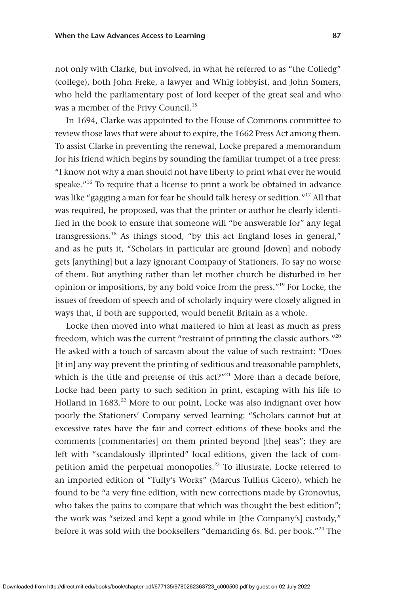not only with Clarke, but involved, in what he referred to as "the Colledg" (college), both John Freke, a lawyer and Whig lobbyist, and John Somers, who held the parliamentary post of lord keeper of the great seal and who was a member of the Privy Council.<sup>15</sup>

In 1694, Clarke was appointed to the House of Commons committee to review those laws that were about to expire, the 1662 Press Act among them. To assist Clarke in preventing the renewal, Locke prepared a memorandum for his friend which begins by sounding the familiar trumpet of a free press: "I know not why a man should not have liberty to print what ever he would speake."<sup>16</sup> To require that a license to print a work be obtained in advance was like "gagging a man for fear he should talk heresy or sedition."<sup>17</sup> All that was required, he proposed, was that the printer or author be clearly identified in the book to ensure that someone will "be answerable for" any legal transgressions.<sup>18</sup> As things stood, "by this act England loses in general," and as he puts it, "Scholars in particular are ground [down] and nobody gets [anything] but a lazy ignorant Company of Stationers. To say no worse of them. But anything rather than let mother church be disturbed in her opinion or impositions, by any bold voice from the press."19 For Locke, the issues of freedom of speech and of scholarly inquiry were closely aligned in ways that, if both are supported, would benefit Britain as a whole.

Locke then moved into what mattered to him at least as much as press freedom, which was the current "restraint of printing the classic authors."20 He asked with a touch of sarcasm about the value of such restraint: "Does [it in] any way prevent the printing of seditious and treasonable pamphlets, which is the title and pretense of this  $act?''^{21}$  More than a decade before, Locke had been party to such sedition in print, escaping with his life to Holland in  $1683.<sup>22</sup>$  More to our point, Locke was also indignant over how poorly the Stationers' Company served learning: "Scholars cannot but at excessive rates have the fair and correct editions of these books and the comments [commentaries] on them printed beyond [the] seas"; they are left with "scandalously illprinted" local editions, given the lack of competition amid the perpetual monopolies.<sup>23</sup> To illustrate, Locke referred to an imported edition of "Tully's Works" (Marcus Tullius Cicero), which he found to be "a very fine edition, with new corrections made by Gronovius, who takes the pains to compare that which was thought the best edition"; the work was "seized and kept a good while in [the Company's] custody," before it was sold with the booksellers "demanding 6s. 8d. per book."<sup>24</sup> The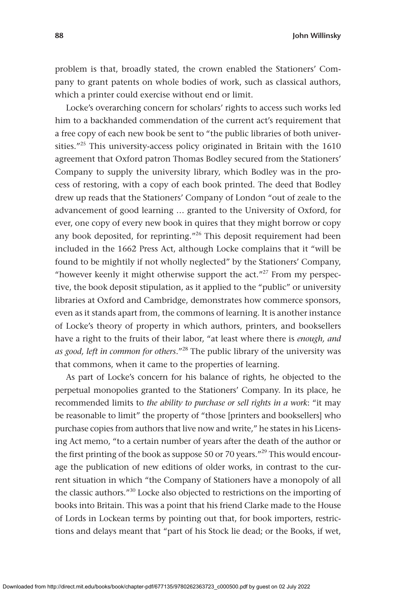problem is that, broadly stated, the crown enabled the Stationers' Company to grant patents on whole bodies of work, such as classical authors, which a printer could exercise without end or limit.

Locke's overarching concern for scholars' rights to access such works led him to a backhanded commendation of the current act's requirement that a free copy of each new book be sent to "the public libraries of both universities."<sup>25</sup> This university-access policy originated in Britain with the 1610 agreement that Oxford patron Thomas Bodley secured from the Stationers' Company to supply the university library, which Bodley was in the process of restoring, with a copy of each book printed. The deed that Bodley drew up reads that the Stationers' Company of London "out of zeale to the advancement of good learning … granted to the University of Oxford, for ever, one copy of every new book in quires that they might borrow or copy any book deposited, for reprinting."26 This deposit requirement had been included in the 1662 Press Act, although Locke complains that it "will be found to be mightily if not wholly neglected" by the Stationers' Company, "however keenly it might otherwise support the  $act."^{27}$  From my perspective, the book deposit stipulation, as it applied to the "public" or university libraries at Oxford and Cambridge, demonstrates how commerce sponsors, even as it stands apart from, the commons of learning. It is another instance of Locke's theory of property in which authors, printers, and booksellers have a right to the fruits of their labor, "at least where there is *enough, and as good, left in common for others*."28 The public library of the university was that commons, when it came to the properties of learning.

As part of Locke's concern for his balance of rights, he objected to the perpetual monopolies granted to the Stationers' Company. In its place, he recommended limits to *the ability to purchase or sell rights in a work*: "it may be reasonable to limit" the property of "those [printers and booksellers] who purchase copies from authors that live now and write," he states in his Licensing Act memo, "to a certain number of years after the death of the author or the first printing of the book as suppose 50 or 70 years."<sup>29</sup> This would encourage the publication of new editions of older works, in contrast to the current situation in which "the Company of Stationers have a monopoly of all the classic authors."30 Locke also objected to restrictions on the importing of books into Britain. This was a point that his friend Clarke made to the House of Lords in Lockean terms by pointing out that, for book importers, restrictions and delays meant that "part of his Stock lie dead; or the Books, if wet,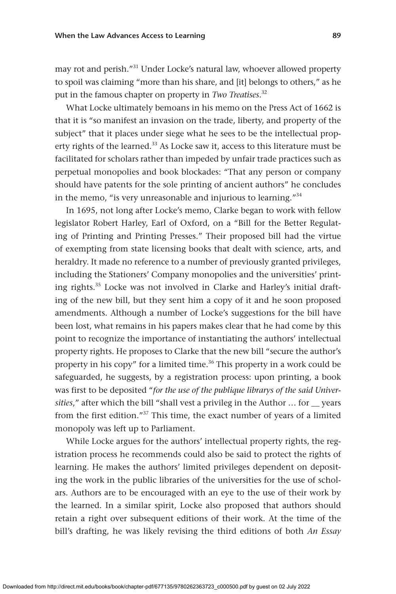may rot and perish."<sup>31</sup> Under Locke's natural law, whoever allowed property to spoil was claiming "more than his share, and [it] belongs to others," as he put in the famous chapter on property in *Two Treatises*. 32

What Locke ultimately bemoans in his memo on the Press Act of 1662 is that it is "so manifest an invasion on the trade, liberty, and property of the subject" that it places under siege what he sees to be the intellectual property rights of the learned.<sup>33</sup> As Locke saw it, access to this literature must be facilitated for scholars rather than impeded by unfair trade practices such as perpetual monopolies and book blockades: "That any person or company should have patents for the sole printing of ancient authors" he concludes in the memo, "is very unreasonable and injurious to learning." $34$ 

In 1695, not long after Locke's memo, Clarke began to work with fellow legislator Robert Harley, Earl of Oxford, on a "Bill for the Better Regulating of Printing and Printing Presses." Their proposed bill had the virtue of exempting from state licensing books that dealt with science, arts, and heraldry. It made no reference to a number of previously granted privileges, including the Stationers' Company monopolies and the universities' printing rights.35 Locke was not involved in Clarke and Harley's initial drafting of the new bill, but they sent him a copy of it and he soon proposed amendments. Although a number of Locke's suggestions for the bill have been lost, what remains in his papers makes clear that he had come by this point to recognize the importance of instantiating the authors' intellectual property rights. He proposes to Clarke that the new bill "secure the author's property in his copy" for a limited time.<sup>36</sup> This property in a work could be safeguarded, he suggests, by a registration process: upon printing, a book was first to be deposited "*for the use of the publique librarys of the said Universities*," after which the bill "shall vest a privileg in the Author … for \_\_ years from the first edition."37 This time, the exact number of years of a limited monopoly was left up to Parliament.

While Locke argues for the authors' intellectual property rights, the registration process he recommends could also be said to protect the rights of learning. He makes the authors' limited privileges dependent on depositing the work in the public libraries of the universities for the use of scholars. Authors are to be encouraged with an eye to the use of their work by the learned. In a similar spirit, Locke also proposed that authors should retain a right over subsequent editions of their work. At the time of the bill's drafting, he was likely revising the third editions of both *An Essay*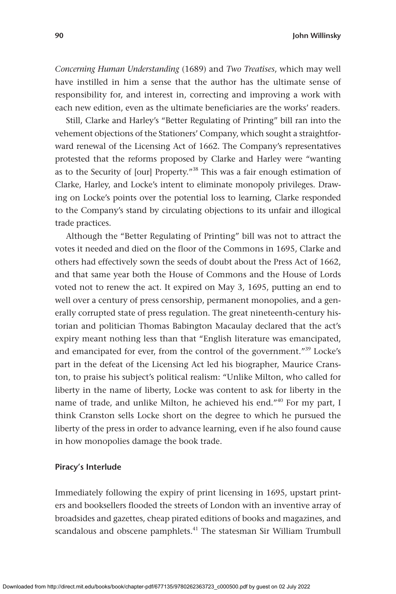*Concerning Human Understanding* (1689) and *Two Treatises*, which may well have instilled in him a sense that the author has the ultimate sense of responsibility for, and interest in, correcting and improving a work with each new edition, even as the ultimate beneficiaries are the works' readers.

Still, Clarke and Harley's "Better Regulating of Printing" bill ran into the vehement objections of the Stationers' Company, which sought a straightforward renewal of the Licensing Act of 1662. The Company's representatives protested that the reforms proposed by Clarke and Harley were "wanting as to the Security of [our] Property."38 This was a fair enough estimation of Clarke, Harley, and Locke's intent to eliminate monopoly privileges. Drawing on Locke's points over the potential loss to learning, Clarke responded to the Company's stand by circulating objections to its unfair and illogical trade practices.

Although the "Better Regulating of Printing" bill was not to attract the votes it needed and died on the floor of the Commons in 1695, Clarke and others had effectively sown the seeds of doubt about the Press Act of 1662, and that same year both the House of Commons and the House of Lords voted not to renew the act. It expired on May 3, 1695, putting an end to well over a century of press censorship, permanent monopolies, and a generally corrupted state of press regulation. The great nineteenth-century historian and politician Thomas Babington Macaulay declared that the act's expiry meant nothing less than that "English literature was emancipated, and emancipated for ever, from the control of the government."<sup>39</sup> Locke's part in the defeat of the Licensing Act led his biographer, Maurice Cranston, to praise his subject's political realism: "Unlike Milton, who called for liberty in the name of liberty, Locke was content to ask for liberty in the name of trade, and unlike Milton, he achieved his end."<sup>40</sup> For my part, I think Cranston sells Locke short on the degree to which he pursued the liberty of the press in order to advance learning, even if he also found cause in how monopolies damage the book trade.

### **Piracy's Interlude**

Immediately following the expiry of print licensing in 1695, upstart printers and booksellers flooded the streets of London with an inventive array of broadsides and gazettes, cheap pirated editions of books and magazines, and scandalous and obscene pamphlets.<sup>41</sup> The statesman Sir William Trumbull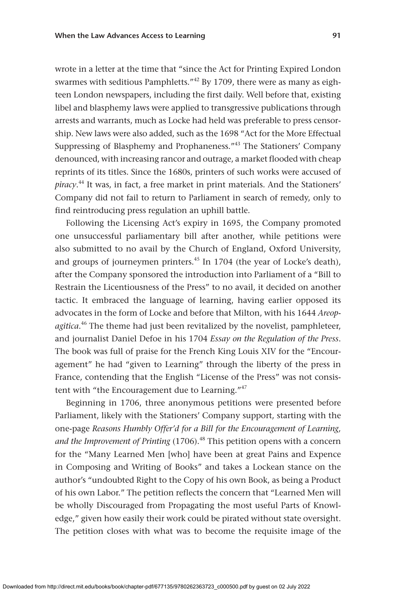wrote in a letter at the time that "since the Act for Printing Expired London swarmes with seditious Pamphletts."<sup>42</sup> By 1709, there were as many as eighteen London newspapers, including the first daily. Well before that, existing libel and blasphemy laws were applied to transgressive publications through arrests and warrants, much as Locke had held was preferable to press censorship. New laws were also added, such as the 1698 "Act for the More Effectual Suppressing of Blasphemy and Prophaneness."43 The Stationers' Company denounced, with increasing rancor and outrage, a market flooded with cheap reprints of its titles. Since the 1680s, printers of such works were accused of *piracy*. 44 It was, in fact, a free market in print materials. And the Stationers' Company did not fail to return to Parliament in search of remedy, only to find reintroducing press regulation an uphill battle.

Following the Licensing Act's expiry in 1695, the Company promoted one unsuccessful parliamentary bill after another, while petitions were also submitted to no avail by the Church of England, Oxford University, and groups of journeymen printers.<sup>45</sup> In 1704 (the year of Locke's death), after the Company sponsored the introduction into Parliament of a "Bill to Restrain the Licentiousness of the Press" to no avail, it decided on another tactic. It embraced the language of learning, having earlier opposed its advocates in the form of Locke and before that Milton, with his 1644 *Areopagitica*. 46 The theme had just been revitalized by the novelist, pamphleteer, and journalist Daniel Defoe in his 1704 *Essay on the Regulation of the Press*. The book was full of praise for the French King Louis XIV for the "Encouragement" he had "given to Learning" through the liberty of the press in France, contending that the English "License of the Press" was not consistent with "the Encouragement due to Learning."<sup>47</sup>

Beginning in 1706, three anonymous petitions were presented before Parliament, likely with the Stationers' Company support, starting with the one-page *Reasons Humbly Offer'd for a Bill for the Encouragement of Learning,*  and the Improvement of Printing (1706).<sup>48</sup> This petition opens with a concern for the "Many Learned Men [who] have been at great Pains and Expence in Composing and Writing of Books" and takes a Lockean stance on the author's "undoubted Right to the Copy of his own Book, as being a Product of his own Labor." The petition reflects the concern that "Learned Men will be wholly Discouraged from Propagating the most useful Parts of Knowledge," given how easily their work could be pirated without state oversight. The petition closes with what was to become the requisite image of the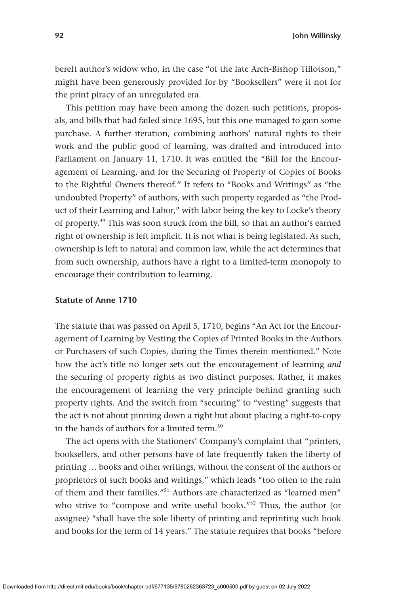bereft author's widow who, in the case "of the late Arch-Bishop Tillotson," might have been generously provided for by "Booksellers" were it not for the print piracy of an unregulated era.

This petition may have been among the dozen such petitions, proposals, and bills that had failed since 1695, but this one managed to gain some purchase. A further iteration, combining authors' natural rights to their work and the public good of learning, was drafted and introduced into Parliament on January 11, 1710. It was entitled the "Bill for the Encouragement of Learning, and for the Securing of Property of Copies of Books to the Rightful Owners thereof." It refers to "Books and Writings" as "the undoubted Property" of authors, with such property regarded as "the Product of their Learning and Labor," with labor being the key to Locke's theory of property.49 This was soon struck from the bill, so that an author's earned right of ownership is left implicit. It is not what is being legislated. As such, ownership is left to natural and common law, while the act determines that from such ownership, authors have a right to a limited-term monopoly to encourage their contribution to learning.

### **Statute of Anne 1710**

The statute that was passed on April 5, 1710, begins "An Act for the Encouragement of Learning by Vesting the Copies of Printed Books in the Authors or Purchasers of such Copies, during the Times therein mentioned." Note how the act's title no longer sets out the encouragement of learning *and* the securing of property rights as two distinct purposes. Rather, it makes the encouragement of learning the very principle behind granting such property rights. And the switch from "securing" to "vesting" suggests that the act is not about pinning down a right but about placing a right-to-copy in the hands of authors for a limited term. $50$ 

The act opens with the Stationers' Company's complaint that "printers, booksellers, and other persons have of late frequently taken the liberty of printing … books and other writings, without the consent of the authors or proprietors of such books and writings," which leads "too often to the ruin of them and their families."51 Authors are characterized as "learned men" who strive to "compose and write useful books."<sup>52</sup> Thus, the author (or assignee) "shall have the sole liberty of printing and reprinting such book and books for the term of 14 years." The statute requires that books "before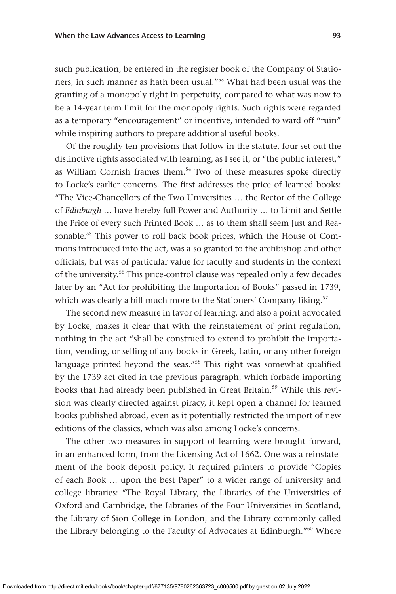such publication, be entered in the register book of the Company of Stationers. in such manner as hath been usual."<sup>53</sup> What had been usual was the granting of a monopoly right in perpetuity, compared to what was now to be a 14-year term limit for the monopoly rights. Such rights were regarded as a temporary "encouragement" or incentive, intended to ward off "ruin" while inspiring authors to prepare additional useful books.

Of the roughly ten provisions that follow in the statute, four set out the distinctive rights associated with learning, as I see it, or "the public interest," as William Cornish frames them.<sup>54</sup> Two of these measures spoke directly to Locke's earlier concerns. The first addresses the price of learned books: "The Vice-Chancellors of the Two Universities … the Rector of the College of *Edinburgh* … have hereby full Power and Authority … to Limit and Settle the Price of every such Printed Book … as to them shall seem Just and Reasonable.<sup>55</sup> This power to roll back book prices, which the House of Commons introduced into the act, was also granted to the archbishop and other officials, but was of particular value for faculty and students in the context of the university.<sup>56</sup> This price-control clause was repealed only a few decades later by an "Act for prohibiting the Importation of Books" passed in 1739, which was clearly a bill much more to the Stationers' Company liking.<sup>57</sup>

The second new measure in favor of learning, and also a point advocated by Locke, makes it clear that with the reinstatement of print regulation, nothing in the act "shall be construed to extend to prohibit the importation, vending, or selling of any books in Greek, Latin, or any other foreign language printed beyond the seas."58 This right was somewhat qualified by the 1739 act cited in the previous paragraph, which forbade importing books that had already been published in Great Britain.<sup>59</sup> While this revision was clearly directed against piracy, it kept open a channel for learned books published abroad, even as it potentially restricted the import of new editions of the classics, which was also among Locke's concerns.

The other two measures in support of learning were brought forward, in an enhanced form, from the Licensing Act of 1662. One was a reinstatement of the book deposit policy. It required printers to provide "Copies of each Book … upon the best Paper" to a wider range of university and college libraries: "The Royal Library, the Libraries of the Universities of Oxford and Cambridge, the Libraries of the Four Universities in Scotland, the Library of Sion College in London, and the Library commonly called the Library belonging to the Faculty of Advocates at Edinburgh."<sup>60</sup> Where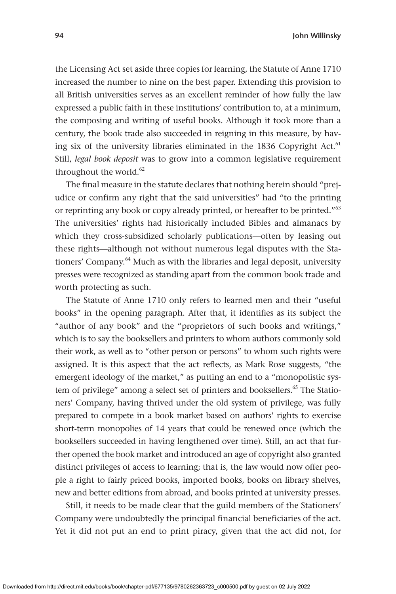the Licensing Act set aside three copies for learning, the Statute of Anne 1710 increased the number to nine on the best paper. Extending this provision to all British universities serves as an excellent reminder of how fully the law expressed a public faith in these institutions' contribution to, at a minimum, the composing and writing of useful books. Although it took more than a century, the book trade also succeeded in reigning in this measure, by having six of the university libraries eliminated in the  $1836$  Copyright Act.<sup>61</sup> Still, *legal book deposit* was to grow into a common legislative requirement throughout the world.<sup>62</sup>

The final measure in the statute declares that nothing herein should "prejudice or confirm any right that the said universities" had "to the printing or reprinting any book or copy already printed, or hereafter to be printed."63 The universities' rights had historically included Bibles and almanacs by which they cross-subsidized scholarly publications—often by leasing out these rights—although not without numerous legal disputes with the Stationers' Company.<sup>64</sup> Much as with the libraries and legal deposit, university presses were recognized as standing apart from the common book trade and worth protecting as such.

The Statute of Anne 1710 only refers to learned men and their "useful books" in the opening paragraph. After that, it identifies as its subject the "author of any book" and the "proprietors of such books and writings," which is to say the booksellers and printers to whom authors commonly sold their work, as well as to "other person or persons" to whom such rights were assigned. It is this aspect that the act reflects, as Mark Rose suggests, "the emergent ideology of the market," as putting an end to a "monopolistic system of privilege" among a select set of printers and booksellers.<sup>65</sup> The Stationers' Company, having thrived under the old system of privilege, was fully prepared to compete in a book market based on authors' rights to exercise short-term monopolies of 14 years that could be renewed once (which the booksellers succeeded in having lengthened over time). Still, an act that further opened the book market and introduced an age of copyright also granted distinct privileges of access to learning; that is, the law would now offer people a right to fairly priced books, imported books, books on library shelves, new and better editions from abroad, and books printed at university presses.

Still, it needs to be made clear that the guild members of the Stationers' Company were undoubtedly the principal financial beneficiaries of the act. Yet it did not put an end to print piracy, given that the act did not, for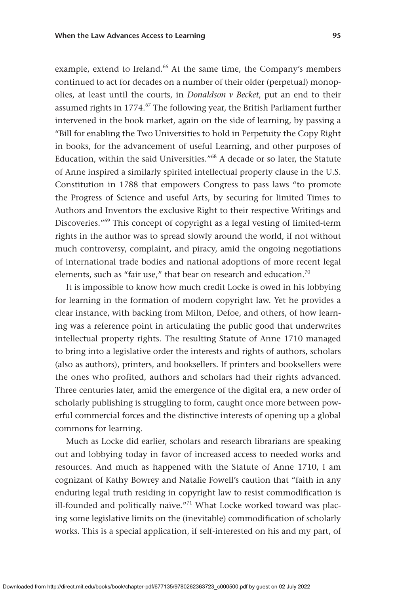example, extend to Ireland.<sup>66</sup> At the same time, the Company's members continued to act for decades on a number of their older (perpetual) monopolies, at least until the courts, in *Donaldson v Becket*, put an end to their assumed rights in 1774.<sup>67</sup> The following year, the British Parliament further intervened in the book market, again on the side of learning, by passing a "Bill for enabling the Two Universities to hold in Perpetuity the Copy Right in books, for the advancement of useful Learning, and other purposes of Education, within the said Universities."<sup>68</sup> A decade or so later, the Statute of Anne inspired a similarly spirited intellectual property clause in the U.S. Constitution in 1788 that empowers Congress to pass laws "to promote the Progress of Science and useful Arts, by securing for limited Times to Authors and Inventors the exclusive Right to their respective Writings and Discoveries."69 This concept of copyright as a legal vesting of limited-term rights in the author was to spread slowly around the world, if not without much controversy, complaint, and piracy, amid the ongoing negotiations of international trade bodies and national adoptions of more recent legal elements, such as "fair use," that bear on research and education.<sup>70</sup>

It is impossible to know how much credit Locke is owed in his lobbying for learning in the formation of modern copyright law. Yet he provides a clear instance, with backing from Milton, Defoe, and others, of how learning was a reference point in articulating the public good that underwrites intellectual property rights. The resulting Statute of Anne 1710 managed to bring into a legislative order the interests and rights of authors, scholars (also as authors), printers, and booksellers. If printers and booksellers were the ones who profited, authors and scholars had their rights advanced. Three centuries later, amid the emergence of the digital era, a new order of scholarly publishing is struggling to form, caught once more between powerful commercial forces and the distinctive interests of opening up a global commons for learning.

Much as Locke did earlier, scholars and research librarians are speaking out and lobbying today in favor of increased access to needed works and resources. And much as happened with the Statute of Anne 1710, I am cognizant of Kathy Bowrey and Natalie Fowell's caution that "faith in any enduring legal truth residing in copyright law to resist commodification is ill-founded and politically naïve."<sup>71</sup> What Locke worked toward was placing some legislative limits on the (inevitable) commodification of scholarly works. This is a special application, if self-interested on his and my part, of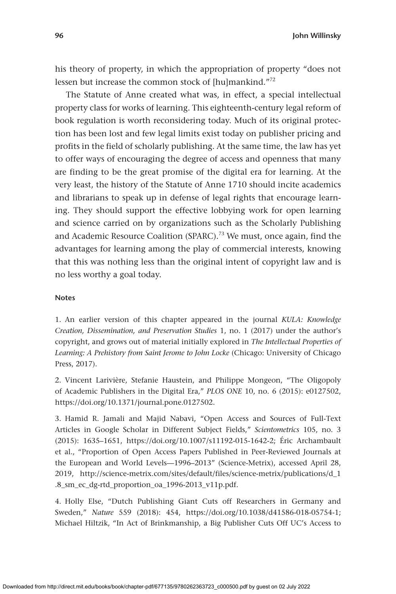his theory of property, in which the appropriation of property "does not lessen but increase the common stock of [hu]mankind."<sup>72</sup>

The Statute of Anne created what was, in effect, a special intellectual property class for works of learning. This eighteenth-century legal reform of book regulation is worth reconsidering today. Much of its original protection has been lost and few legal limits exist today on publisher pricing and profits in the field of scholarly publishing. At the same time, the law has yet to offer ways of encouraging the degree of access and openness that many are finding to be the great promise of the digital era for learning. At the very least, the history of the Statute of Anne 1710 should incite academics and librarians to speak up in defense of legal rights that encourage learning. They should support the effective lobbying work for open learning and science carried on by organizations such as the Scholarly Publishing and Academic Resource Coalition (SPARC).<sup>73</sup> We must, once again, find the advantages for learning among the play of commercial interests, knowing that this was nothing less than the original intent of copyright law and is no less worthy a goal today.

### **Notes**

1. An earlier version of this chapter appeared in the journal *KULA: Knowledge Creation, Dissemination, and Preservation Studies* 1, no. 1 (2017) under the author's copyright, and grows out of material initially explored in *The Intellectual Properties of Learning: A Prehistory from Saint Jerome to John Locke* (Chicago: University of Chicago Press, 2017).

2. Vincent Larivière, Stefanie Haustein, and Philippe Mongeon, "The Oligopoly of Academic Publishers in the Digital Era," *PLOS ONE* 10, no. 6 (2015): e0127502, <https://doi.org/10.1371/journal.pone.0127502>.

3. Hamid R. Jamali and Majid Nabavi, "Open Access and Sources of Full-Text Articles in Google Scholar in Different Subject Fields," *Scientometrics* 105, no. 3 (2015): 1635–1651, [https://doi.org/10.1007/s11192-015-1642-2;](https://doi.org/10.1007/s11192-015-1642-2) Éric Archambault et al., "Proportion of Open Access Papers Published in Peer-Reviewed Journals at the European and World Levels—1996–2013" (Science-Metrix), accessed April 28, 2019, [http://science-metrix.com/sites/default/files/science-metrix/publications/d\\_1](http://science-metrix.com/sites/default/files/science-metrix/publications/d_1.8_sm_ec_dg-rtd_proportion_oa_1996-2013_v11p.pdf) [.8\\_sm\\_ec\\_dg-rtd\\_proportion\\_oa\\_1996-2013\\_v11p.pdf.](http://science-metrix.com/sites/default/files/science-metrix/publications/d_1.8_sm_ec_dg-rtd_proportion_oa_1996-2013_v11p.pdf)

4. Holly Else, "Dutch Publishing Giant Cuts off Researchers in Germany and Sweden," *Nature* 559 (2018): 454, [https://doi.org/10.1038/d41586-018-05754-1;](https://doi.org/10.1038/d41586-018-05754-1) Michael Hiltzik, "In Act of Brinkmanship, a Big Publisher Cuts Off UC's Access to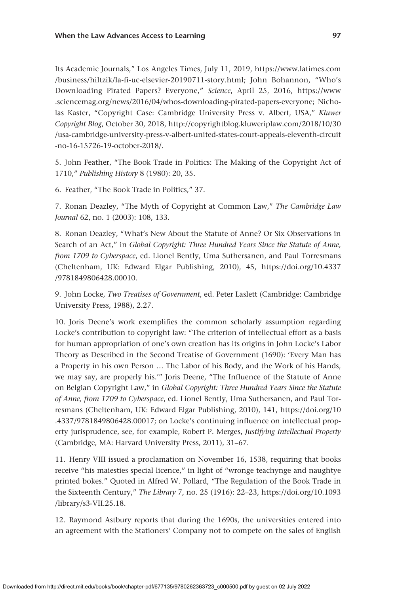Its Academic Journals," Los Angeles Times, July 11, 2019, [https://www.latimes.com](https://www.latimes.com/business/hiltzik/la-fi-uc-elsevier-20190711-story.html) [/business/hiltzik/la-fi-uc-elsevier-20190711-story.html;](https://www.latimes.com/business/hiltzik/la-fi-uc-elsevier-20190711-story.html) John Bohannon, "Who's Downloading Pirated Papers? Everyone," *Science*, April 25, 2016, [https://www](https://www.sciencemag.org/news/2016/04/whos-downloading-pirated-papers-everyone) [.sciencemag.org/news/2016/04/whos-downloading-pirated-papers-everyone;](https://www.sciencemag.org/news/2016/04/whos-downloading-pirated-papers-everyone) Nicholas Kaster, "Copyright Case: Cambridge University Press v. Albert, USA," *Kluwer Copyright Blog*, October 30, 2018, [http://copyrightblog.kluweriplaw.com/2018/10/30](http://copyrightblog.kluweriplaw.com/2018/10/30/usa-cambridge-university-press-v-albert-united-states-court-appeals-eleventh-circuit-no-16-15726-19-october-2018/) [/usa-cambridge-university-press-v-albert-united-states-court-appeals-eleventh-circuit](http://copyrightblog.kluweriplaw.com/2018/10/30/usa-cambridge-university-press-v-albert-united-states-court-appeals-eleventh-circuit-no-16-15726-19-october-2018/) [-no-16-15726-19-october-2018/](http://copyrightblog.kluweriplaw.com/2018/10/30/usa-cambridge-university-press-v-albert-united-states-court-appeals-eleventh-circuit-no-16-15726-19-october-2018/).

5. John Feather, "The Book Trade in Politics: The Making of the Copyright Act of 1710," *Publishing History* 8 (1980): 20, 35.

6. Feather, "The Book Trade in Politics," 37.

7. Ronan Deazley, "The Myth of Copyright at Common Law," *The Cambridge Law Journal* 62, no. 1 (2003): 108, 133.

8. Ronan Deazley, "What's New About the Statute of Anne? Or Six Observations in Search of an Act," in *Global Copyright: Three Hundred Years Since the Statute of Anne, from 1709 to Cyberspace*, ed. Lionel Bently, Uma Suthersanen, and Paul Torresmans (Cheltenham, UK: Edward Elgar Publishing, 2010), 45, [https://doi.org/10.4337](https://doi.org/10.4337/9781849806428.00010) [/9781849806428.00010.](https://doi.org/10.4337/9781849806428.00010)

9. John Locke, *Two Treatises of Government*, ed. Peter Laslett (Cambridge: Cambridge University Press, 1988), 2.27.

10. Joris Deene's work exemplifies the common scholarly assumption regarding Locke's contribution to copyright law: "The criterion of intellectual effort as a basis for human appropriation of one's own creation has its origins in John Locke's Labor Theory as Described in the Second Treatise of Government (1690): 'Every Man has a Property in his own Person … The Labor of his Body, and the Work of his Hands, we may say, are properly his.'" Joris Deene, "The Influence of the Statute of Anne on Belgian Copyright Law," in *Global Copyright: Three Hundred Years Since the Statute of Anne, from 1709 to Cyberspace*, ed. Lionel Bently, Uma Suthersanen, and Paul Torresmans (Cheltenham, UK: Edward Elgar Publishing, 2010), 141, [https://doi.org/10](https://doi.org/10.4337/9781849806428.00017) [.4337/9781849806428.00017](https://doi.org/10.4337/9781849806428.00017); on Locke's continuing influence on intellectual property jurisprudence, see, for example, Robert P. Merges, *Justifying Intellectual Property* (Cambridge, MA: Harvard University Press, 2011), 31–67.

11. Henry VIII issued a proclamation on November 16, 1538, requiring that books receive "his maiesties special licence," in light of "wronge teachynge and naughtye printed bokes." Quoted in Alfred W. Pollard, "The Regulation of the Book Trade in the Sixteenth Century," *The Library* 7, no. 25 (1916): 22–23, [https://doi.org/10.1093](https://doi.org/10.1093/library/s3-VII.25.18) [/library/s3-VII.25.18](https://doi.org/10.1093/library/s3-VII.25.18).

12. Raymond Astbury reports that during the 1690s, the universities entered into an agreement with the Stationers' Company not to compete on the sales of English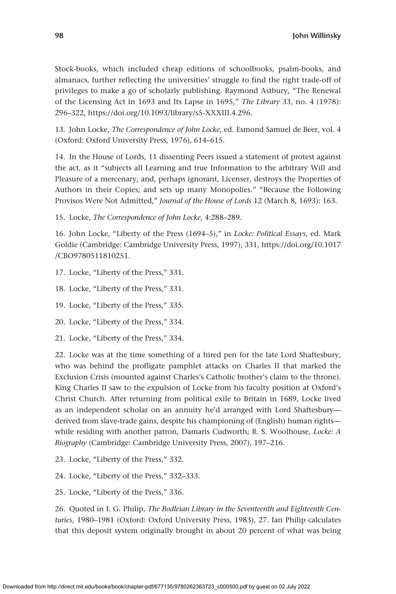Stock-books, which included cheap editions of schoolbooks, psalm-books, and almanacs, further reflecting the universities' struggle to find the right trade-off of privileges to make a go of scholarly publishing. Raymond Astbury, "The Renewal of the Licensing Act in 1693 and Its Lapse in 1695," *The Library* 33, no. 4 (1978): 296–322,<https://doi.org/10.1093/library/s5-XXXIII.4.296>.

13. John Locke, *The Correspondence of John Locke*, ed. Esmond Samuel de Beer, vol. 4 (Oxford: Oxford University Press, 1976), 614–615.

14. In the House of Lords, 11 dissenting Peers issued a statement of protest against the act, as it "subjects all Learning and true Information to the arbitrary Will and Pleasure of a mercenary, and, perhaps ignorant, Licenser, destroys the Properties of Authors in their Copies; and sets up many Monopolies." "Because the Following Provisos Were Not Admitted," *Journal of the House of Lords* 12 (March 8, 1693): 163.

15. Locke, *The Correspondence of John Locke*, 4:288–289.

16. John Locke, "Liberty of the Press (1694–5)," in *Locke: Political Essays*, ed. Mark Goldie (Cambridge: Cambridge University Press, 1997), 331, [https://doi.org/10.1017](https://doi.org/10.1017/CBO9780511810251) [/CBO9780511810251.](https://doi.org/10.1017/CBO9780511810251)

- 17. Locke, "Liberty of the Press," 331.
- 18. Locke, "Liberty of the Press," 331.
- 19. Locke, "Liberty of the Press," 335.
- 20. Locke, "Liberty of the Press," 334.
- 21. Locke, "Liberty of the Press," 334.

22. Locke was at the time something of a hired pen for the late Lord Shaftesbury, who was behind the profligate pamphlet attacks on Charles II that marked the Exclusion Crisis (mounted against Charles's Catholic brother's claim to the throne). King Charles II saw to the expulsion of Locke from his faculty position at Oxford's Christ Church. After returning from political exile to Britain in 1689, Locke lived as an independent scholar on an annuity he'd arranged with Lord Shaftesbury derived from slave-trade gains, despite his championing of (English) human rights while residing with another patron, Damaris Cudworth; R. S. Woolhouse, *Locke: A Biography* (Cambridge: Cambridge University Press, 2007), 197–216.

- 23. Locke, "Liberty of the Press," 332.
- 24. Locke, "Liberty of the Press," 332–333.
- 25. Locke, "Liberty of the Press," 336.

26. Quoted in I. G. Philip, *The Bodleian Library in the Seventeenth and Eighteenth Centuries*, 1980–1981 (Oxford: Oxford University Press, 1983), 27. Ian Philip calculates that this deposit system originally brought in about 20 percent of what was being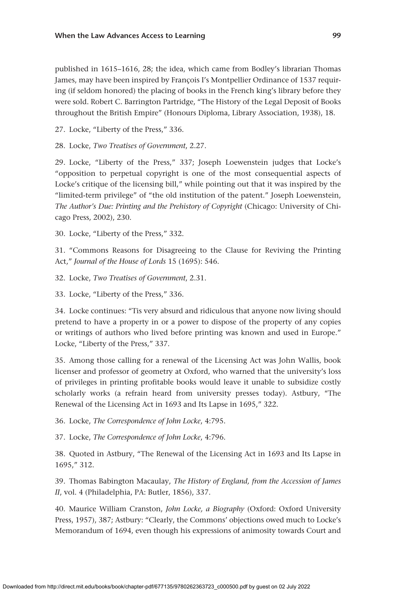published in 1615–1616, 28; the idea, which came from Bodley's librarian Thomas James, may have been inspired by François I's Montpellier Ordinance of 1537 requiring (if seldom honored) the placing of books in the French king's library before they were sold. Robert C. Barrington Partridge, "The History of the Legal Deposit of Books throughout the British Empire" (Honours Diploma, Library Association, 1938), 18.

- 27. Locke, "Liberty of the Press," 336.
- 28. Locke, *Two Treatises of Government*, 2.27.

29. Locke, "Liberty of the Press," 337; Joseph Loewenstein judges that Locke's "opposition to perpetual copyright is one of the most consequential aspects of Locke's critique of the licensing bill," while pointing out that it was inspired by the "limited-term privilege" of "the old institution of the patent." Joseph Loewenstein, *The Author's Due: Printing and the Prehistory of Copyright* (Chicago: University of Chicago Press, 2002), 230.

30. Locke, "Liberty of the Press," 332.

31. "Commons Reasons for Disagreeing to the Clause for Reviving the Printing Act," *Journal of the House of Lords* 15 (1695): 546.

32. Locke, *Two Treatises of Government*, 2.31.

33. Locke, "Liberty of the Press," 336.

34. Locke continues: "Tis very absurd and ridiculous that anyone now living should pretend to have a property in or a power to dispose of the property of any copies or writings of authors who lived before printing was known and used in Europe." Locke, "Liberty of the Press," 337.

35. Among those calling for a renewal of the Licensing Act was John Wallis, book licenser and professor of geometry at Oxford, who warned that the university's loss of privileges in printing profitable books would leave it unable to subsidize costly scholarly works (a refrain heard from university presses today). Astbury, "The Renewal of the Licensing Act in 1693 and Its Lapse in 1695," 322.

36. Locke, *The Correspondence of John Locke*, 4:795.

37. Locke, *The Correspondence of John Locke*, 4:796.

38. Quoted in Astbury, "The Renewal of the Licensing Act in 1693 and Its Lapse in 1695," 312.

39. Thomas Babington Macaulay, *The History of England, from the Accession of James II*, vol. 4 (Philadelphia, PA: Butler, 1856), 337.

40. Maurice William Cranston, *John Locke, a Biography* (Oxford: Oxford University Press, 1957), 387; Astbury: "Clearly, the Commons' objections owed much to Locke's Memorandum of 1694, even though his expressions of animosity towards Court and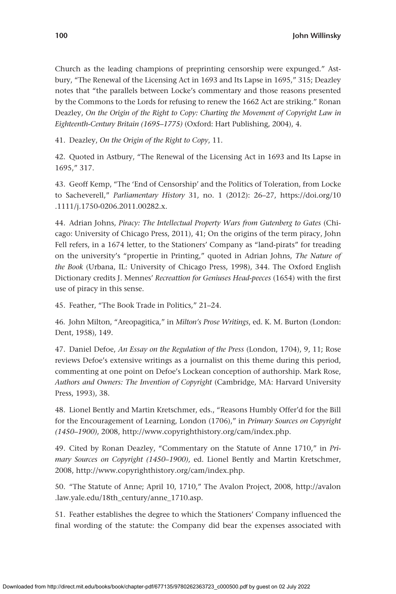Church as the leading champions of preprinting censorship were expunged." Astbury, "The Renewal of the Licensing Act in 1693 and Its Lapse in 1695," 315; Deazley notes that "the parallels between Locke's commentary and those reasons presented by the Commons to the Lords for refusing to renew the 1662 Act are striking." Ronan Deazley, *On the Origin of the Right to Copy: Charting the Movement of Copyright Law in Eighteenth-Century Britain (1695–1775)* (Oxford: Hart Publishing, 2004), 4.

41. Deazley, *On the Origin of the Right to Copy*, 11.

42. Quoted in Astbury, "The Renewal of the Licensing Act in 1693 and Its Lapse in 1695," 317.

43. Geoff Kemp, "The 'End of Censorship' and the Politics of Toleration, from Locke to Sacheverell," *Parliamentary History* 31, no. 1 (2012): 26–27, [https://doi.org/10](https://doi.org/10.1111/j.1750-0206.2011.00282.x) [.1111/j.1750-0206.2011.00282.x](https://doi.org/10.1111/j.1750-0206.2011.00282.x).

44. Adrian Johns, *Piracy: The Intellectual Property Wars from Gutenberg to Gates* (Chicago: University of Chicago Press, 2011), 41; On the origins of the term piracy, John Fell refers, in a 1674 letter, to the Stationers' Company as "land-pirats" for treading on the university's "propertie in Printing," quoted in Adrian Johns, *The Nature of the Book* (Urbana, IL: University of Chicago Press, 1998), 344. The Oxford English Dictionary credits J. Mennes' *Recreattion for Geniuses Head-peeces* (1654) with the first use of piracy in this sense.

45. Feather, "The Book Trade in Politics," 21–24.

46. John Milton, "Areopagitica," in *Milton's Prose Writings*, ed. K. M. Burton (London: Dent, 1958), 149.

47. Daniel Defoe, *An Essay on the Regulation of the Press* (London, 1704), 9, 11; Rose reviews Defoe's extensive writings as a journalist on this theme during this period, commenting at one point on Defoe's Lockean conception of authorship. Mark Rose, *Authors and Owners: The Invention of Copyright* (Cambridge, MA: Harvard University Press, 1993), 38.

48. Lionel Bently and Martin Kretschmer, eds., "Reasons Humbly Offer'd for the Bill for the Encouragement of Learning, London (1706)," in *Primary Sources on Copyright (1450–1900)*, 2008,<http://www.copyrighthistory.org/cam/index.php>.

49. Cited by Ronan Deazley, "Commentary on the Statute of Anne 1710," in *Primary Sources on Copyright (1450–1900)*, ed. Lionel Bently and Martin Kretschmer, 2008, [http://www.copyrighthistory.org/cam/index.php.](http://www.copyrighthistory.org/cam/index.php)

50. "The Statute of Anne; April 10, 1710," The Avalon Project, 2008, [http://avalon](http://avalon.law.yale.edu/18th_century/anne_1710.asp) [.law.yale.edu/18th\\_century/anne\\_1710.asp](http://avalon.law.yale.edu/18th_century/anne_1710.asp).

51. Feather establishes the degree to which the Stationers' Company influenced the final wording of the statute: the Company did bear the expenses associated with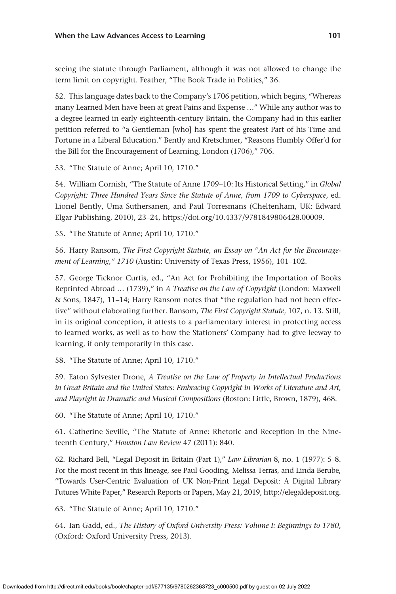seeing the statute through Parliament, although it was not allowed to change the term limit on copyright. Feather, "The Book Trade in Politics," 36.

52. This language dates back to the Company's 1706 petition, which begins, "Whereas many Learned Men have been at great Pains and Expense …" While any author was to a degree learned in early eighteenth-century Britain, the Company had in this earlier petition referred to "a Gentleman [who] has spent the greatest Part of his Time and Fortune in a Liberal Education." Bently and Kretschmer, "Reasons Humbly Offer'd for the Bill for the Encouragement of Learning, London (1706)," 706.

53. "The Statute of Anne; April 10, 1710."

54. William Cornish, "The Statute of Anne 1709–10: Its Historical Setting," in *Global Copyright: Three Hundred Years Since the Statute of Anne, from 1709 to Cyberspace*, ed. Lionel Bently, Uma Suthersanen, and Paul Torresmans (Cheltenham, UK: Edward Elgar Publishing, 2010), 23–24, [https://doi.org/10.4337/9781849806428.00009.](https://doi.org/10.4337/9781849806428.00009)

55. "The Statute of Anne; April 10, 1710."

56. Harry Ransom, *The First Copyright Statute, an Essay on "An Act for the Encouragement of Learning," 1710* (Austin: University of Texas Press, 1956), 101–102.

57. George Ticknor Curtis, ed., "An Act for Prohibiting the Importation of Books Reprinted Abroad … (1739)," in *A Treatise on the Law of Copyright* (London: Maxwell & Sons, 1847), 11–14; Harry Ransom notes that "the regulation had not been effective" without elaborating further. Ransom, *The First Copyright Statute*, 107, n. 13. Still, in its original conception, it attests to a parliamentary interest in protecting access to learned works, as well as to how the Stationers' Company had to give leeway to learning, if only temporarily in this case.

58. "The Statute of Anne; April 10, 1710."

59. Eaton Sylvester Drone, *A Treatise on the Law of Property in Intellectual Productions in Great Britain and the United States: Embracing Copyright in Works of Literature and Art, and Playright in Dramatic and Musical Compositions* (Boston: Little, Brown, 1879), 468.

60. "The Statute of Anne; April 10, 1710."

61. Catherine Seville, "The Statute of Anne: Rhetoric and Reception in the Nineteenth Century," *Houston Law Review* 47 (2011): 840.

62. Richard Bell, "Legal Deposit in Britain (Part 1)," *Law Librarian* 8, no. 1 (1977): 5–8. For the most recent in this lineage, see Paul Gooding, Melissa Terras, and Linda Berube, "Towards User-Centric Evaluation of UK Non-Print Legal Deposit: A Digital Library Futures White Paper," Research Reports or Papers, May 21, 2019, [http://elegaldeposit.org.](http://elegaldeposit.org)

63. "The Statute of Anne; April 10, 1710."

64. Ian Gadd, ed., *The History of Oxford University Press: Volume I: Beginnings to 1780*, (Oxford: Oxford University Press, 2013).